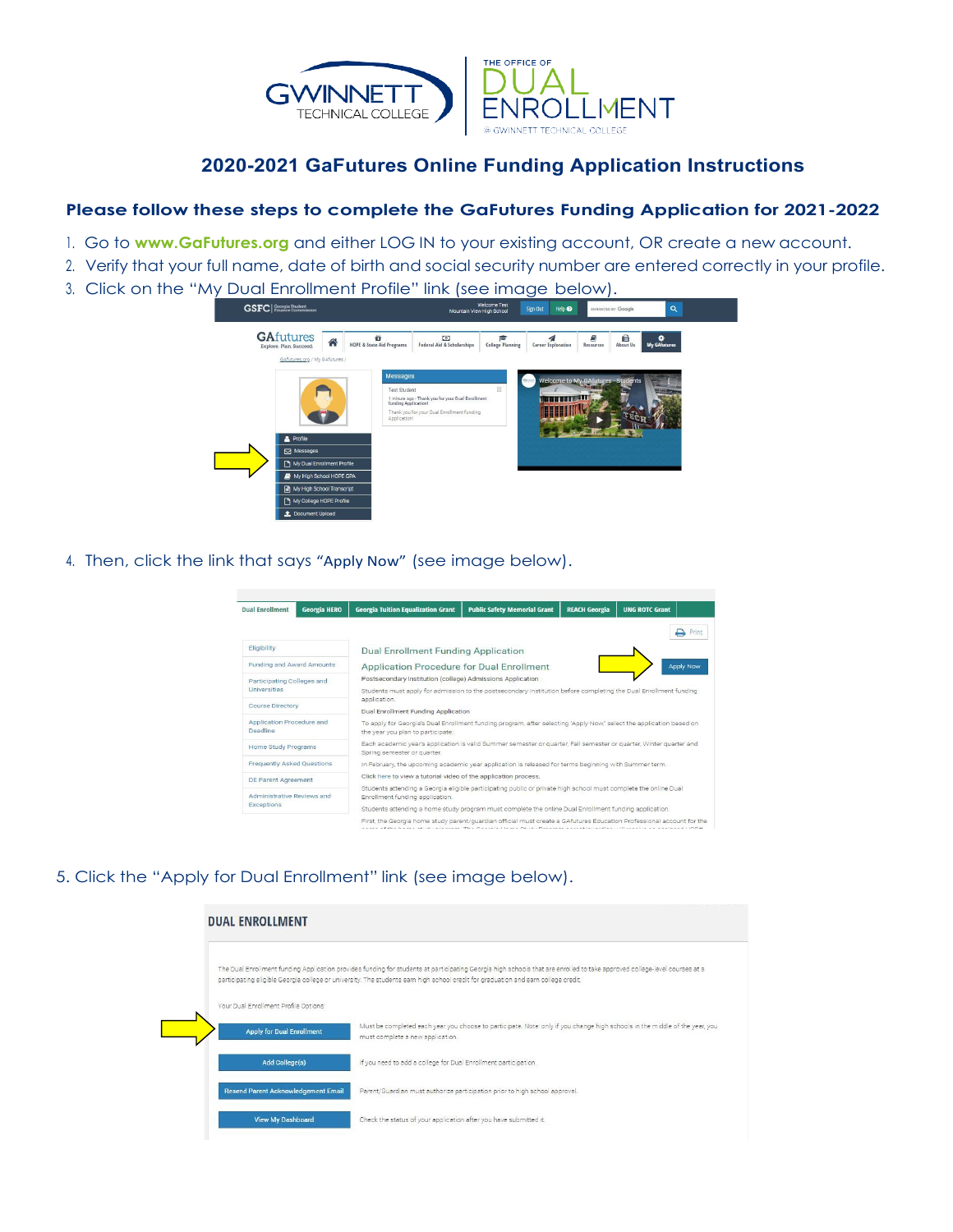

## 2020-2021 GaFutures Online Funding Application Instructions

## Please follow these steps to complete the GaFutures Funding Application for 2021-2022

- 1. Go to www.GaFutures.org and either LOG IN to your existing account, OR create a new account.
- 2. Verify that your full name, date of birth and social security number are entered correctly in your profile.
- 3. Click on the "My Dual Enrollment Profile" link (see image below).



4. Then, click the link that says "Apply Now" (see image below).



## 5. Click the "Apply for Dual Enrollment" link (see image below).